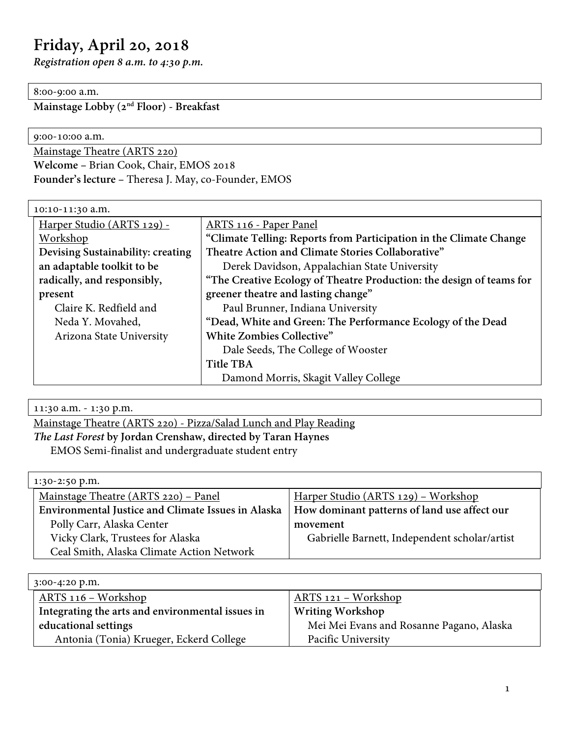# **Friday, April 20, 2018**

*Registration open 8 a.m. to 4:30 p.m.*

### 8:00-9:00 a.m.

**Mainstage Lobby (2nd Floor) - Breakfast**

| Mainstage Theatre (ARTS 220) | 9:00-10:00 a.m.                        |  |
|------------------------------|----------------------------------------|--|
|                              |                                        |  |
|                              | Welcome - Brian Cook, Chair, EMOS 2018 |  |

**Founder's lecture –** Theresa J. May, co-Founder, EMOS

| 10:10-11:30 a.m.                  |                                                                      |
|-----------------------------------|----------------------------------------------------------------------|
| Harper Studio (ARTS 129) -        | ARTS 116 - Paper Panel                                               |
| Workshop                          | "Climate Telling: Reports from Participation in the Climate Change   |
| Devising Sustainability: creating | Theatre Action and Climate Stories Collaborative"                    |
| an adaptable toolkit to be        | Derek Davidson, Appalachian State University                         |
| radically, and responsibly,       | "The Creative Ecology of Theatre Production: the design of teams for |
| present                           | greener theatre and lasting change"                                  |
| Claire K. Redfield and            | Paul Brunner, Indiana University                                     |
| Neda Y. Movahed,                  | "Dead, White and Green: The Performance Ecology of the Dead          |
| Arizona State University          | White Zombies Collective"                                            |
|                                   | Dale Seeds, The College of Wooster                                   |
|                                   | Title TBA                                                            |
|                                   | Damond Morris, Skagit Valley College                                 |

11:30 a.m. - 1:30 p.m.

Mainstage Theatre (ARTS 220) - Pizza/Salad Lunch and Play Reading

## *The Last Forest* **by Jordan Crenshaw, directed by Taran Haynes**

EMOS Semi-finalist and undergraduate student entry

| 1:30-2:50 p.m.                                            |                                               |
|-----------------------------------------------------------|-----------------------------------------------|
| Mainstage Theatre (ARTS 220) – Panel                      | Harper Studio (ARTS 129) – Workshop           |
| <b>Environmental Justice and Climate Issues in Alaska</b> | How dominant patterns of land use affect our  |
| Polly Carr, Alaska Center                                 | movement                                      |
| Vicky Clark, Trustees for Alaska                          | Gabrielle Barnett, Independent scholar/artist |
| Ceal Smith, Alaska Climate Action Network                 |                                               |

| $3:00-4:20$ p.m.                                 |                                          |
|--------------------------------------------------|------------------------------------------|
| <u> ARTS 116 – Workshop</u>                      | ARTS 121 - Workshop                      |
| Integrating the arts and environmental issues in | <b>Writing Workshop</b>                  |
| educational settings                             | Mei Mei Evans and Rosanne Pagano, Alaska |
| Antonia (Tonia) Krueger, Eckerd College          | Pacific University                       |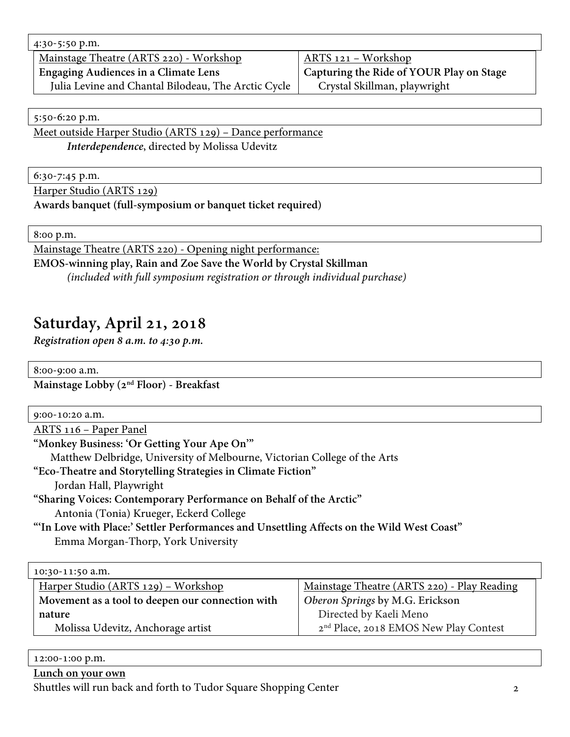4:30-5:50 p.m. Mainstage Theatre (ARTS 220) - Workshop **Engaging Audiences in a Climate Lens** Julia Levine and Chantal Bilodeau, The Arctic Cycle ARTS 121 – Workshop **Capturing the Ride of YOUR Play on Stage** Crystal Skillman, playwright

5:50-6:20 p.m.

Meet outside Harper Studio (ARTS 129) – Dance performance *Interdependence*, directed by Molissa Udevitz

6:30-7:45 p.m.

Harper Studio (ARTS 129)

**Awards banquet (full-symposium or banquet ticket required)**

8:00 p.m.

Mainstage Theatre (ARTS 220) - Opening night performance: **EMOS-winning play, Rain and Zoe Save the World by Crystal Skillman**

*(included with full symposium registration or through individual purchase)*

## **Saturday, April 21, 2018**

*Registration open 8 a.m. to 4:30 p.m.*

| 8:00-9:00 a.m.                                                                            |
|-------------------------------------------------------------------------------------------|
| Mainstage Lobby (2 <sup>nd</sup> Floor) - Breakfast                                       |
|                                                                                           |
| 9:00-10:20 a.m.                                                                           |
| <u> ARTS 116 – Paper Panel</u>                                                            |
| "Monkey Business: 'Or Getting Your Ape On'"                                               |
| Matthew Delbridge, University of Melbourne, Victorian College of the Arts                 |
| "Eco-Theatre and Storytelling Strategies in Climate Fiction"                              |
| Jordan Hall, Playwright                                                                   |
| "Sharing Voices: Contemporary Performance on Behalf of the Arctic"                        |
| Antonia (Tonia) Krueger, Eckerd College                                                   |
| "In Love with Place:' Settler Performances and Unsettling Affects on the Wild West Coast" |
| Emma Morgan-Thorp, York University                                                        |
|                                                                                           |
| 10:30-11:50 a.m.                                                                          |

| $10.30 - 11.50$ d.III.                           |                                                   |
|--------------------------------------------------|---------------------------------------------------|
| Harper Studio (ARTS 129) – Workshop              | Mainstage Theatre (ARTS 220) - Play Reading       |
| Movement as a tool to deepen our connection with | Oberon Springs by M.G. Erickson                   |
| nature                                           | Directed by Kaeli Meno                            |
| Molissa Udevitz, Anchorage artist                | 2 <sup>nd</sup> Place, 2018 EMOS New Play Contest |

| 12:00-1:00 p.m.                                                  |  |
|------------------------------------------------------------------|--|
| Lunch on your own                                                |  |
| Shuttles will run back and forth to Tudor Square Shopping Center |  |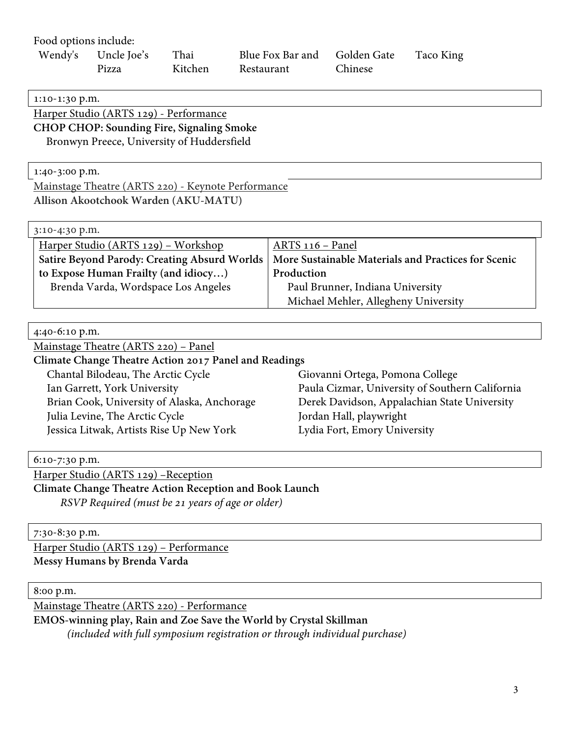Food options include: Wendy's Uncle Joe's Pizza Thai Kitchen Blue Fox Bar and Restaurant Golden Gate Chinese Taco King 1:10-1:30 p.m. Harper Studio (ARTS 129) - Performance **CHOP CHOP: Sounding Fire, Signaling Smoke** Bronwyn Preece, University of Huddersfield 1:40-3:00 p.m. Mainstage Theatre (ARTS 220) - Keynote Performance **Allison Akootchook Warden (AKU-MATU)** 3:10-4:30 p.m. Harper Studio (ARTS 129) – Workshop **Satire Beyond Parody: Creating Absurd Worlds to Expose Human Frailty (and idiocy…)** Brenda Varda, Wordspace Los Angeles ARTS 116 – Panel **More Sustainable Materials and Practices for Scenic Production**  Paul Brunner, Indiana University Michael Mehler, Allegheny University 4:40-6:10 p.m. Mainstage Theatre (ARTS 220) – Panel **Climate Change Theatre Action 2017 Panel and Readings** Chantal Bilodeau, The Arctic Cycle Ian Garrett, York University Brian Cook, University of Alaska, Anchorage Julia Levine, The Arctic Cycle Jessica Litwak, Artists Rise Up New York Giovanni Ortega, Pomona College Paula Cizmar, University of Southern California Derek Davidson, Appalachian State University Jordan Hall, playwright Lydia Fort, Emory University 6:10-7:30 p.m. Harper Studio (ARTS 129) –Reception **Climate Change Theatre Action Reception and Book Launch** *RSVP Required (must be 21 years of age or older)*

7:30-8:30 p.m.

Harper Studio (ARTS 129) – Performance **Messy Humans by Brenda Varda**

8:00 p.m.

Mainstage Theatre (ARTS 220) - Performance

**EMOS-winning play, Rain and Zoe Save the World by Crystal Skillman**

*(included with full symposium registration or through individual purchase)*